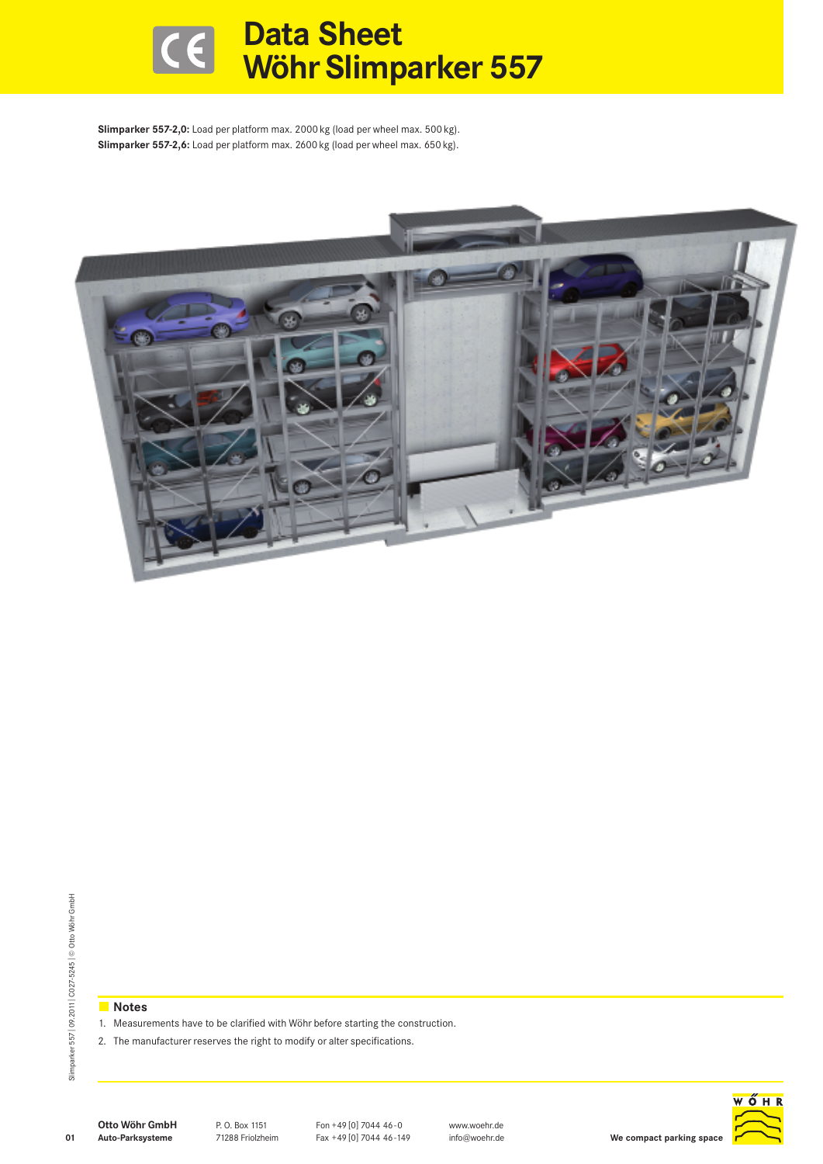# **Data Sheet WöhrSlimparker 557**

**Slimparker 557-2,0:** Load per platform max. 2000 kg (load per wheel max. 500 kg). **Slimparker 557-2,6:** Load per platform max. 2600 kg (load per wheel max. 650 kg).



**01**

# **Notes**

1. Measurements have to be clarified with Wöhr before starting the construction.

2. The manufacturer reserves the right to modify or alter specifications.

**Otto Wöhr GmbH Auto-Parksysteme**

P. O. Box 1151

71288 Friolzheim **We compact parking space** Fon +49 [0] 7044 46-0 Fax +49 [0] 7044 46-149

www.woehr.de info@woehr.de

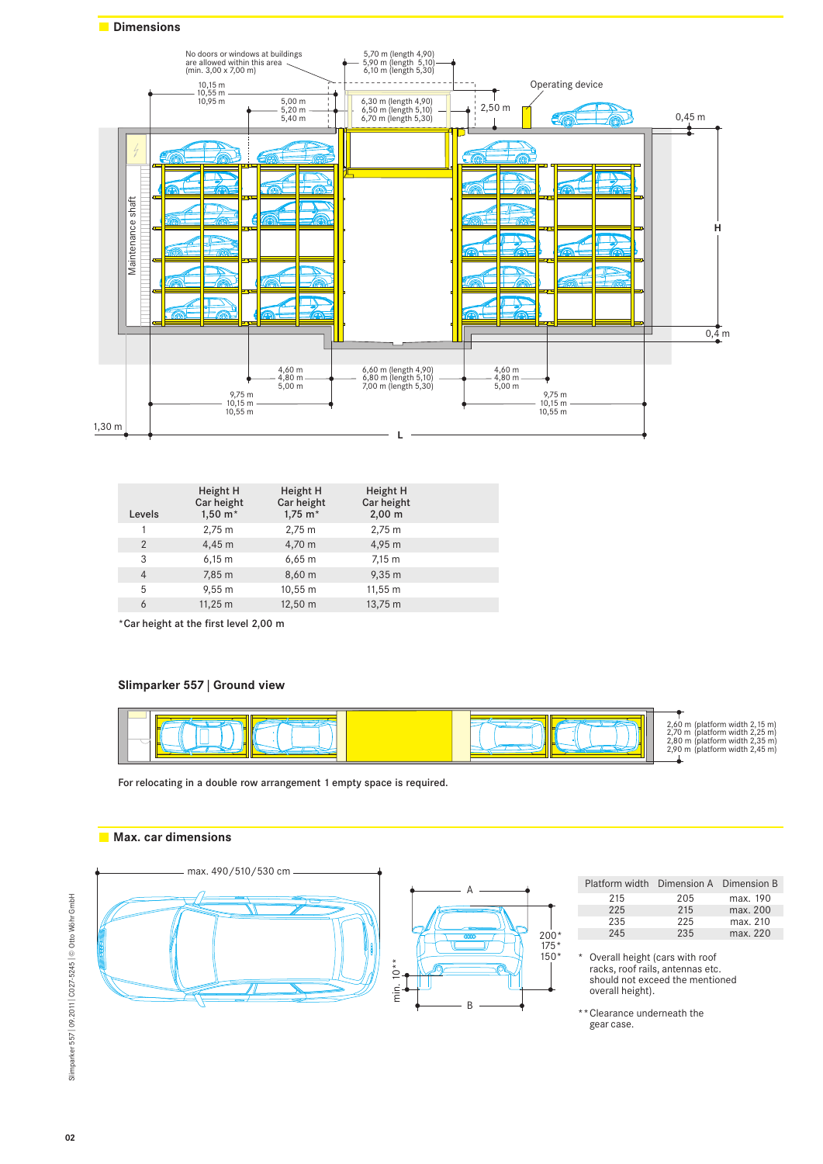



| Levels         | Height H<br>Car height<br>$1,50 \; \text{m}^*$ | Height H<br>Car height<br>$1,75 \; \text{m}^*$ | Height H<br>Car height<br>$2,00 \; m$ |  |
|----------------|------------------------------------------------|------------------------------------------------|---------------------------------------|--|
| 1              | $2,75 \; \text{m}$                             | $2,75 \; \text{m}$                             | $2,75 \; \text{m}$                    |  |
| $\overline{2}$ | $4,45 \; m$                                    | 4,70 m                                         | 4,95 m                                |  |
| 3              | $6,15 \; m$                                    | $6,65 \; m$                                    | $7,15 \; \text{m}$                    |  |
| $\overline{4}$ | 7,85 m                                         | 8,60 m                                         | $9,35 \; \text{m}$                    |  |
| 5              | $9,55 \, \text{m}$                             | 10,55 m                                        | 11,55 m                               |  |
| 6              | $11,25 \; m$                                   | 12,50 m                                        | 13,75 m                               |  |
|                |                                                |                                                |                                       |  |

\*Car height at the first level 2,00 m

# **Slimparker 557 | Ground view**



For relocating in a double row arrangement 1 empty space is required.

# **Max. car dimensions**



| Platform width Dimension A Dimension B |     |          |
|----------------------------------------|-----|----------|
| 215                                    | 205 | max. 190 |
| 225                                    | 215 | max. 200 |
| 235                                    | 225 | max. 210 |
| 245                                    | 235 | max. 220 |
|                                        |     |          |

\* Overall height (cars with roof racks, roof rails, antennas etc. should not exceed the mentioned overall height).

\*\* Clearance underneath the gear case.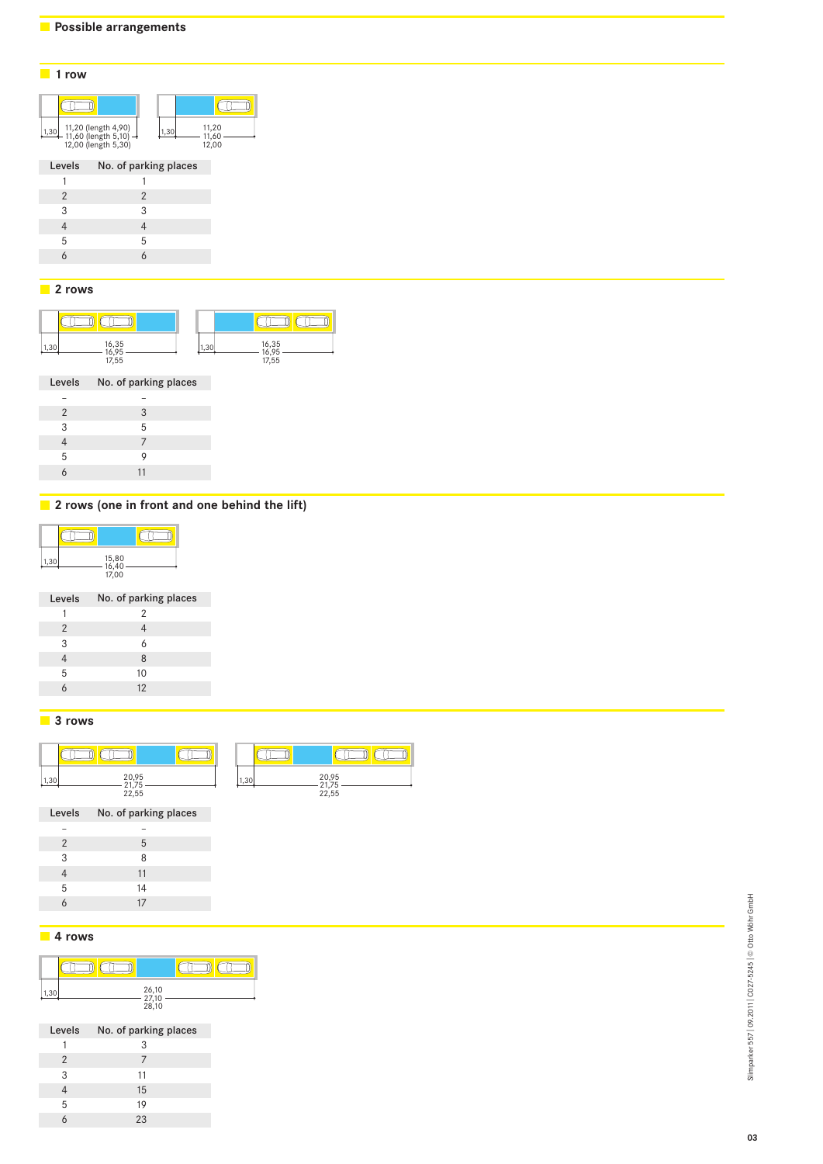# **1** row



| $\overline{2}$ | 2 |
|----------------|---|
| 3              | 3 |
| 4              | 4 |
| 5              | 5 |
|                | Á |

# **2 r o w s**

| 1.30 | 16,35<br>16,95<br>17,55 | 1,30 | 16,35<br>16,95<br>17,55 |  |
|------|-------------------------|------|-------------------------|--|

| Levels |  | No. of parking places |  |
|--------|--|-----------------------|--|
|        |  |                       |  |

| $\overline{2}$ | 3  |  |
|----------------|----|--|
| 3              | 5  |  |
| 4              | 7  |  |
| 5              | Q  |  |
| 6              | 11 |  |
|                |    |  |

# 2 rows (one in front and one behind the lift)

| .30 | 15,80<br>16,40 |  |
|-----|----------------|--|
|     | 17,00          |  |

No. of parking places Levels  $\overline{c}$  $\overline{1}$ 123456 2<br>4<br>6<br>8  $\overline{2}$  $\overline{4}$  $\overline{3}$  $\overline{6}$  $\boldsymbol{8}$  $\overline{4}$  $\overline{5}$ 10 12  $\boldsymbol{6}$ 

# **3 r o w s**

| 1.30 | 20,95<br>21,75<br>22,55 | 1,30 | 20,95<br>21,75<br>22,55 |
|------|-------------------------|------|-------------------------|

Levels No. of parking places  $-23456$ –58  $\overline{2}$  $\overline{5}$  $\overline{3}$  $\overline{8}$ 

|   | 11 |
|---|----|
| 5 | 14 |
| 6 | 17 |
|   |    |

### **4 r o w s**

| ັບ | 26,10<br>27,10<br>28,10 |  |
|----|-------------------------|--|
|    |                         |  |

Levels No. of parking places  $\frac{3}{7}$  $\overline{1}$ 123456  $\overline{2}$  $\overline{3}$ 11  $\overline{4}$ 15 19  $\sqrt{5}$ 23  $\sqrt{6}$ 

Slimparker 557 | 09.2011 | C027-5245 | @ Otto Wöhr GmbH Slimparker 557 | 09.2011 | C027-5245 | © Otto Wöhr GmbH